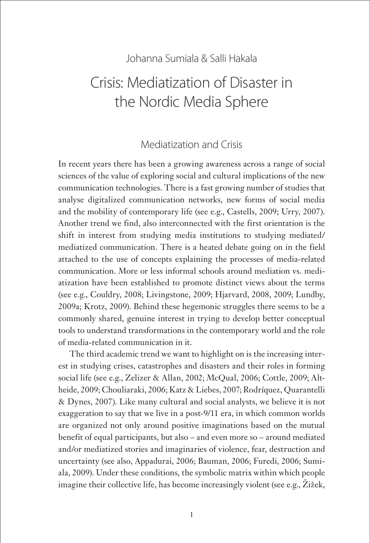#### Johanna Sumiala & Salli Hakala

# Crisis: Mediatization of Disaster in the Nordic Media Sphere

#### Mediatization and Crisis

In recent years there has been a growing awareness across a range of social sciences of the value of exploring social and cultural implications of the new communication technologies. There is a fast growing number of studies that analyse digitalized communication networks, new forms of social media and the mobility of contemporary life (see e.g., Castells, 2009; Urry, 2007). Another trend we find, also interconnected with the first orientation is the shift in interest from studying media institutions to studying mediated/ mediatized communication. There is a heated debate going on in the field attached to the use of concepts explaining the processes of media-related communication. More or less informal schools around mediation vs. mediatization have been established to promote distinct views about the terms (see e.g., Couldry, 2008; Livingstone, 2009; Hjarvard, 2008, 2009; Lundby, 2009a; Krotz, 2009). Behind these hegemonic struggles there seems to be a commonly shared, genuine interest in trying to develop better conceptual tools to understand transformations in the contemporary world and the role of media-related communication in it.

The third academic trend we want to highlight on is the increasing interest in studying crises, catastrophes and disasters and their roles in forming social life (see e.g., Zelizer & Allan, 2002; McQual, 2006; Cottle, 2009; Altheide, 2009; Chouliaraki, 2006; Katz & Liebes, 2007; Rodríquez, Quarantelli & Dynes, 2007). Like many cultural and social analysts, we believe it is not exaggeration to say that we live in a post-9/11 era, in which common worlds are organized not only around positive imaginations based on the mutual benefit of equal participants, but also – and even more so – around mediated and/or mediatized stories and imaginaries of violence, fear, destruction and uncertainty (see also, Appadurai, 2006; Bauman, 2006; Furedi, 2006; Sumiala, 2009). Under these conditions, the symbolic matrix within which people imagine their collective life, has become increasingly violent (see e.g., Žižek,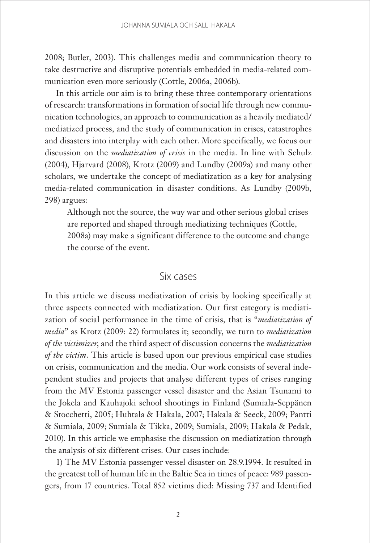2008; Butler, 2003). This challenges media and communication theory to take destructive and disruptive potentials embedded in media-related communication even more seriously (Cottle, 2006a, 2006b).

In this article our aim is to bring these three contemporary orientations of research: transformations in formation of social life through new communication technologies, an approach to communication as a heavily mediated/ mediatized process, and the study of communication in crises, catastrophes and disasters into interplay with each other. More specifically, we focus our discussion on the *mediatization of crisis* in the media. In line with Schulz (2004), Hjarvard (2008), Krotz (2009) and Lundby (2009a) and many other scholars, we undertake the concept of mediatization as a key for analysing media-related communication in disaster conditions. As Lundby (2009b, 298) argues:

Although not the source, the way war and other serious global crises are reported and shaped through mediatizing techniques (Cottle, 2008a) may make a significant difference to the outcome and change the course of the event.

#### Six cases

In this article we discuss mediatization of crisis by looking specifically at three aspects connected with mediatization. Our first category is mediatization of social performance in the time of crisis, that is "*mediatization of media*" as Krotz (2009: 22) formulates it; secondly, we turn to *mediatization of the victimizer*, and the third aspect of discussion concerns the *mediatization of the victim*. This article is based upon our previous empirical case studies on crisis, communication and the media. Our work consists of several independent studies and projects that analyse different types of crises ranging from the MV Estonia passenger vessel disaster and the Asian Tsunami to the Jokela and Kauhajoki school shootings in Finland (Sumiala-Seppänen & Stocchetti, 2005; Huhtala & Hakala, 2007; Hakala & Seeck, 2009; Pantti & Sumiala, 2009; Sumiala & Tikka, 2009; Sumiala, 2009; Hakala & Pedak, 2010). In this article we emphasise the discussion on mediatization through the analysis of six different crises. Our cases include:

1) The MV Estonia passenger vessel disaster on 28.9.1994. It resulted in the greatest toll of human life in the Baltic Sea in times of peace: 989 passengers, from 17 countries. Total 852 victims died: Missing 737 and Identified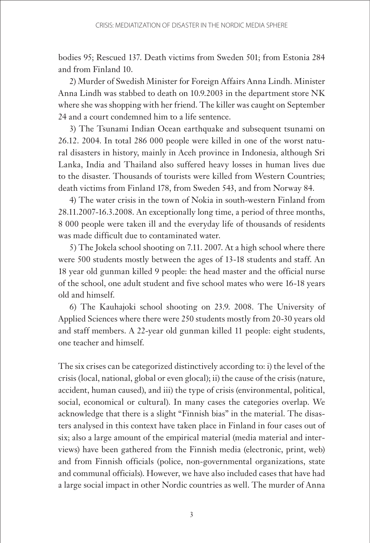bodies 95; Rescued 137. Death victims from Sweden 501; from Estonia 284 and from Finland 10.

2) Murder of Swedish Minister for Foreign Affairs Anna Lindh. Minister Anna Lindh was stabbed to death on 10.9.2003 in the department store NK where she was shopping with her friend. The killer was caught on September 24 and a court condemned him to a life sentence.

3) The Tsunami Indian Ocean earthquake and subsequent tsunami on 26.12. 2004. In total 286 000 people were killed in one of the worst natural disasters in history, mainly in Aceh province in Indonesia, although Sri Lanka, India and Thailand also suffered heavy losses in human lives due to the disaster. Thousands of tourists were killed from Western Countries; death victims from Finland 178, from Sweden 543, and from Norway 84.

4) The water crisis in the town of Nokia in south-western Finland from 28.11.2007-16.3.2008. An exceptionally long time, a period of three months, 8 000 people were taken ill and the everyday life of thousands of residents was made difficult due to contaminated water.

5) The Jokela school shooting on 7.11. 2007. At a high school where there were 500 students mostly between the ages of 13-18 students and staff. An 18 year old gunman killed 9 people: the head master and the official nurse of the school, one adult student and five school mates who were 16-18 years old and himself.

6) The Kauhajoki school shooting on 23.9. 2008. The University of Applied Sciences where there were 250 students mostly from 20-30 years old and staff members. A 22-year old gunman killed 11 people: eight students, one teacher and himself.

The six crises can be categorized distinctively according to: i) the level of the crisis (local, national, global or even glocal); ii) the cause of the crisis (nature, accident, human caused), and iii) the type of crisis (environmental, political, social, economical or cultural). In many cases the categories overlap. We acknowledge that there is a slight "Finnish bias" in the material. The disasters analysed in this context have taken place in Finland in four cases out of six; also a large amount of the empirical material (media material and interviews) have been gathered from the Finnish media (electronic, print, web) and from Finnish officials (police, non-governmental organizations, state and communal officials). However, we have also included cases that have had a large social impact in other Nordic countries as well. The murder of Anna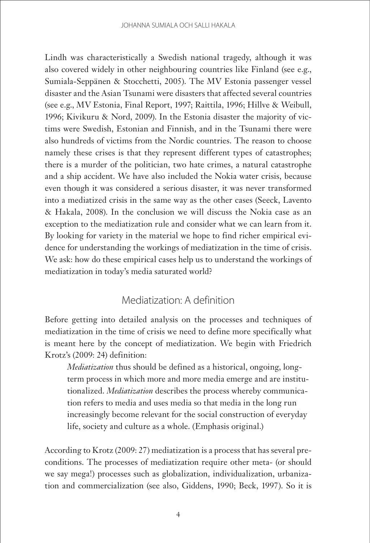Lindh was characteristically a Swedish national tragedy, although it was also covered widely in other neighbouring countries like Finland (see e.g., Sumiala-Seppänen & Stocchetti, 2005). The MV Estonia passenger vessel disaster and the Asian Tsunami were disasters that affected several countries (see e.g., MV Estonia, Final Report, 1997; Raittila, 1996; Hillve & Weibull, 1996; Kivikuru & Nord, 2009). In the Estonia disaster the majority of victims were Swedish, Estonian and Finnish, and in the Tsunami there were also hundreds of victims from the Nordic countries. The reason to choose namely these crises is that they represent different types of catastrophes; there is a murder of the politician, two hate crimes, a natural catastrophe and a ship accident. We have also included the Nokia water crisis, because even though it was considered a serious disaster, it was never transformed into a mediatized crisis in the same way as the other cases (Seeck, Lavento & Hakala, 2008). In the conclusion we will discuss the Nokia case as an exception to the mediatization rule and consider what we can learn from it. By looking for variety in the material we hope to find richer empirical evidence for understanding the workings of mediatization in the time of crisis. We ask: how do these empirical cases help us to understand the workings of mediatization in today's media saturated world?

## Mediatization: A definition

Before getting into detailed analysis on the processes and techniques of mediatization in the time of crisis we need to define more specifically what is meant here by the concept of mediatization. We begin with Friedrich Krotz's (2009: 24) definition:

*Mediatization* thus should be defined as a historical, ongoing, longterm process in which more and more media emerge and are institutionalized. *Mediatization* describes the process whereby communication refers to media and uses media so that media in the long run increasingly become relevant for the social construction of everyday life, society and culture as a whole. (Emphasis original.)

According to Krotz (2009: 27) mediatization is a process that has several preconditions. The processes of mediatization require other meta- (or should we say mega!) processes such as globalization, individualization, urbanization and commercialization (see also, Giddens, 1990; Beck, 1997). So it is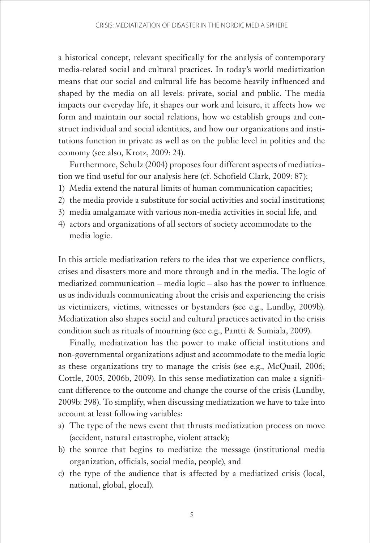a historical concept, relevant specifically for the analysis of contemporary media-related social and cultural practices. In today's world mediatization means that our social and cultural life has become heavily influenced and shaped by the media on all levels: private, social and public. The media impacts our everyday life, it shapes our work and leisure, it affects how we form and maintain our social relations, how we establish groups and construct individual and social identities, and how our organizations and institutions function in private as well as on the public level in politics and the economy (see also, Krotz, 2009: 24).

Furthermore, Schulz (2004) proposes four different aspects of mediatization we find useful for our analysis here (cf. Schofield Clark, 2009: 87):

- 1) Media extend the natural limits of human communication capacities;
- 2) the media provide a substitute for social activities and social institutions;
- 3) media amalgamate with various non-media activities in social life, and
- 4) actors and organizations of all sectors of society accommodate to the media logic.

In this article mediatization refers to the idea that we experience conflicts, crises and disasters more and more through and in the media. The logic of mediatized communication – media logic – also has the power to influence us as individuals communicating about the crisis and experiencing the crisis as victimizers, victims, witnesses or bystanders (see e.g., Lundby, 2009b). Mediatization also shapes social and cultural practices activated in the crisis condition such as rituals of mourning (see e.g., Pantti & Sumiala, 2009).

Finally, mediatization has the power to make official institutions and non-governmental organizations adjust and accommodate to the media logic as these organizations try to manage the crisis (see e.g., McQuail, 2006; Cottle, 2005, 2006b, 2009). In this sense mediatization can make a significant difference to the outcome and change the course of the crisis (Lundby, 2009b: 298). To simplify, when discussing mediatization we have to take into account at least following variables:

- a) The type of the news event that thrusts mediatization process on move (accident, natural catastrophe, violent attack);
- b) the source that begins to mediatize the message (institutional media organization, officials, social media, people), and
- c) the type of the audience that is affected by a mediatized crisis (local, national, global, glocal).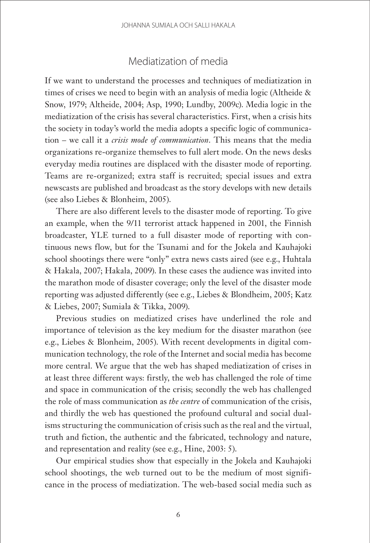## Mediatization of media

If we want to understand the processes and techniques of mediatization in times of crises we need to begin with an analysis of media logic (Altheide & Snow, 1979; Altheide, 2004; Asp, 1990; Lundby, 2009c). Media logic in the mediatization of the crisis has several characteristics. First, when a crisis hits the society in today's world the media adopts a specific logic of communication – we call it a *crisis mode of communication*. This means that the media organizations re-organize themselves to full alert mode. On the news desks everyday media routines are displaced with the disaster mode of reporting. Teams are re-organized; extra staff is recruited; special issues and extra newscasts are published and broadcast as the story develops with new details (see also Liebes & Blonheim, 2005).

There are also different levels to the disaster mode of reporting. To give an example, when the 9/11 terrorist attack happened in 2001, the Finnish broadcaster, YLE turned to a full disaster mode of reporting with continuous news flow, but for the Tsunami and for the Jokela and Kauhajoki school shootings there were "only" extra news casts aired (see e.g., Huhtala & Hakala, 2007; Hakala, 2009). In these cases the audience was invited into the marathon mode of disaster coverage; only the level of the disaster mode reporting was adjusted differently (see e.g., Liebes & Blondheim, 2005; Katz & Liebes, 2007; Sumiala & Tikka, 2009).

Previous studies on mediatized crises have underlined the role and importance of television as the key medium for the disaster marathon (see e.g., Liebes & Blonheim, 2005). With recent developments in digital communication technology, the role of the Internet and social media has become more central. We argue that the web has shaped mediatization of crises in at least three different ways: firstly, the web has challenged the role of time and space in communication of the crisis; secondly the web has challenged the role of mass communication as *the centre* of communication of the crisis, and thirdly the web has questioned the profound cultural and social dualisms structuring the communication of crisis such as the real and the virtual, truth and fiction, the authentic and the fabricated, technology and nature, and representation and reality (see e.g., Hine, 2003: 5).

Our empirical studies show that especially in the Jokela and Kauhajoki school shootings, the web turned out to be the medium of most significance in the process of mediatization. The web-based social media such as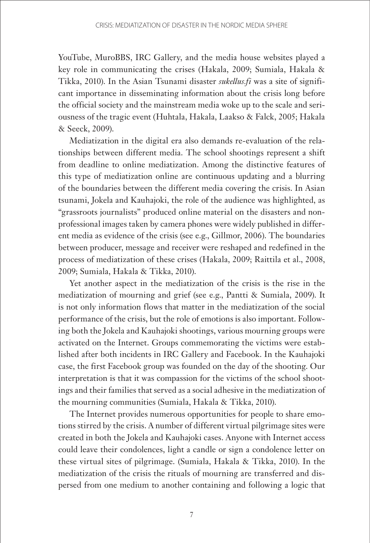YouTube, MuroBBS, IRC Gallery, and the media house websites played a key role in communicating the crises (Hakala, 2009; Sumiala, Hakala & Tikka, 2010). In the Asian Tsunami disaster *sukellus.fi* was a site of significant importance in disseminating information about the crisis long before the official society and the mainstream media woke up to the scale and seriousness of the tragic event (Huhtala, Hakala, Laakso & Falck, 2005; Hakala & Seeck, 2009).

Mediatization in the digital era also demands re-evaluation of the relationships between different media. The school shootings represent a shift from deadline to online mediatization. Among the distinctive features of this type of mediatization online are continuous updating and a blurring of the boundaries between the different media covering the crisis. In Asian tsunami, Jokela and Kauhajoki, the role of the audience was highlighted, as "grassroots journalists" produced online material on the disasters and nonprofessional images taken by camera phones were widely published in different media as evidence of the crisis (see e.g., Gillmor, 2006). The boundaries between producer, message and receiver were reshaped and redefined in the process of mediatization of these crises (Hakala, 2009; Raittila et al., 2008, 2009; Sumiala, Hakala & Tikka, 2010).

Yet another aspect in the mediatization of the crisis is the rise in the mediatization of mourning and grief (see e.g., Pantti & Sumiala, 2009). It is not only information flows that matter in the mediatization of the social performance of the crisis, but the role of emotions is also important. Following both the Jokela and Kauhajoki shootings, various mourning groups were activated on the Internet. Groups commemorating the victims were established after both incidents in IRC Gallery and Facebook. In the Kauhajoki case, the first Facebook group was founded on the day of the shooting. Our interpretation is that it was compassion for the victims of the school shootings and their families that served as a social adhesive in the mediatization of the mourning communities (Sumiala, Hakala & Tikka, 2010).

The Internet provides numerous opportunities for people to share emotions stirred by the crisis. A number of different virtual pilgrimage sites were created in both the Jokela and Kauhajoki cases. Anyone with Internet access could leave their condolences, light a candle or sign a condolence letter on these virtual sites of pilgrimage. (Sumiala, Hakala & Tikka, 2010). In the mediatization of the crisis the rituals of mourning are transferred and dispersed from one medium to another containing and following a logic that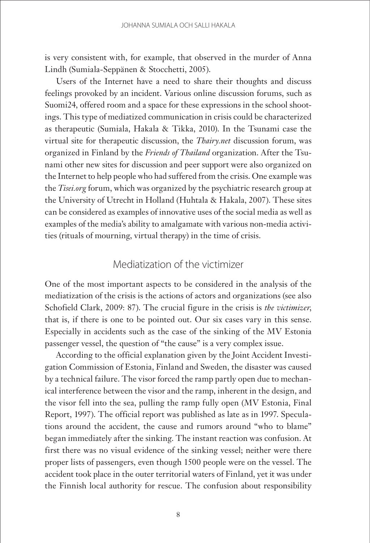is very consistent with, for example, that observed in the murder of Anna Lindh (Sumiala-Seppänen & Stocchetti, 2005).

Users of the Internet have a need to share their thoughts and discuss feelings provoked by an incident. Various online discussion forums, such as Suomi24, offered room and a space for these expressions in the school shootings. This type of mediatized communication in crisis could be characterized as therapeutic (Sumiala, Hakala & Tikka, 2010). In the Tsunami case the virtual site for therapeutic discussion, the *Thairy.net* discussion forum, was organized in Finland by the *Friends of Thailand* organization. After the Tsunami other new sites for discussion and peer support were also organized on the Internet to help people who had suffered from the crisis. One example was the *Tisei.org* forum, which was organized by the psychiatric research group at the University of Utrecht in Holland (Huhtala & Hakala, 2007). These sites can be considered as examples of innovative uses of the social media as well as examples of the media's ability to amalgamate with various non-media activities (rituals of mourning, virtual therapy) in the time of crisis.

#### Mediatization of the victimizer

One of the most important aspects to be considered in the analysis of the mediatization of the crisis is the actions of actors and organizations (see also Schofield Clark, 2009: 87). The crucial figure in the crisis is *the victimizer*, that is, if there is one to be pointed out. Our six cases vary in this sense. Especially in accidents such as the case of the sinking of the MV Estonia passenger vessel, the question of "the cause" is a very complex issue.

According to the official explanation given by the Joint Accident Investigation Commission of Estonia, Finland and Sweden, the disaster was caused by a technical failure. The visor forced the ramp partly open due to mechanical interference between the visor and the ramp, inherent in the design, and the visor fell into the sea, pulling the ramp fully open (MV Estonia, Final Report, 1997). The official report was published as late as in 1997. Speculations around the accident, the cause and rumors around "who to blame" began immediately after the sinking. The instant reaction was confusion. At first there was no visual evidence of the sinking vessel; neither were there proper lists of passengers, even though 1500 people were on the vessel. The accident took place in the outer territorial waters of Finland, yet it was under the Finnish local authority for rescue. The confusion about responsibility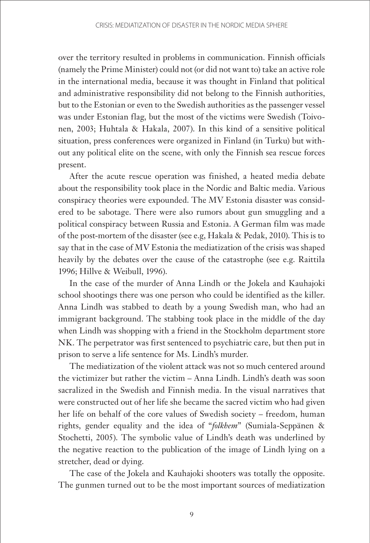over the territory resulted in problems in communication. Finnish officials (namely the Prime Minister) could not (or did not want to) take an active role in the international media, because it was thought in Finland that political and administrative responsibility did not belong to the Finnish authorities, but to the Estonian or even to the Swedish authorities as the passenger vessel was under Estonian flag, but the most of the victims were Swedish (Toivonen, 2003; Huhtala & Hakala, 2007). In this kind of a sensitive political situation, press conferences were organized in Finland (in Turku) but without any political elite on the scene, with only the Finnish sea rescue forces present.

After the acute rescue operation was finished, a heated media debate about the responsibility took place in the Nordic and Baltic media. Various conspiracy theories were expounded. The MV Estonia disaster was considered to be sabotage. There were also rumors about gun smuggling and a political conspiracy between Russia and Estonia. A German film was made of the post-mortem of the disaster (see e.g, Hakala & Pedak, 2010). This is to say that in the case of MV Estonia the mediatization of the crisis was shaped heavily by the debates over the cause of the catastrophe (see e.g. Raittila 1996; Hillve & Weibull, 1996).

In the case of the murder of Anna Lindh or the Jokela and Kauhajoki school shootings there was one person who could be identified as the killer. Anna Lindh was stabbed to death by a young Swedish man, who had an immigrant background. The stabbing took place in the middle of the day when Lindh was shopping with a friend in the Stockholm department store NK. The perpetrator was first sentenced to psychiatric care, but then put in prison to serve a life sentence for Ms. Lindh's murder.

The mediatization of the violent attack was not so much centered around the victimizer but rather the victim – Anna Lindh. Lindh's death was soon sacralized in the Swedish and Finnish media. In the visual narratives that were constructed out of her life she became the sacred victim who had given her life on behalf of the core values of Swedish society – freedom, human rights, gender equality and the idea of "*folkhem*" (Sumiala-Seppänen & Stochetti, 2005). The symbolic value of Lindh's death was underlined by the negative reaction to the publication of the image of Lindh lying on a stretcher, dead or dying.

The case of the Jokela and Kauhajoki shooters was totally the opposite. The gunmen turned out to be the most important sources of mediatization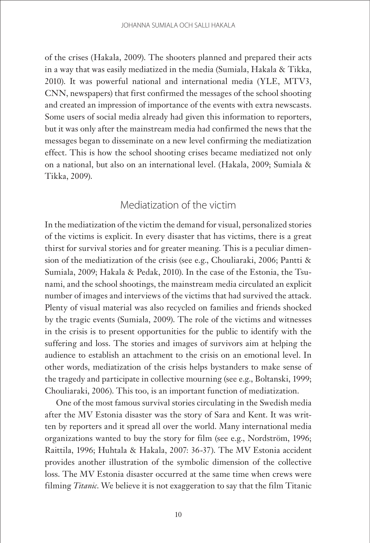of the crises (Hakala, 2009). The shooters planned and prepared their acts in a way that was easily mediatized in the media (Sumiala, Hakala & Tikka, 2010). It was powerful national and international media (YLE, MTV3, CNN, newspapers) that first confirmed the messages of the school shooting and created an impression of importance of the events with extra newscasts. Some users of social media already had given this information to reporters, but it was only after the mainstream media had confirmed the news that the messages began to disseminate on a new level confirming the mediatization effect. This is how the school shooting crises became mediatized not only on a national, but also on an international level. (Hakala, 2009; Sumiala & Tikka, 2009).

### Mediatization of the victim

In the mediatization of the victim the demand for visual, personalized stories of the victims is explicit. In every disaster that has victims, there is a great thirst for survival stories and for greater meaning. This is a peculiar dimension of the mediatization of the crisis (see e.g., Chouliaraki, 2006; Pantti & Sumiala, 2009; Hakala & Pedak, 2010). In the case of the Estonia, the Tsunami, and the school shootings, the mainstream media circulated an explicit number of images and interviews of the victims that had survived the attack. Plenty of visual material was also recycled on families and friends shocked by the tragic events (Sumiala, 2009). The role of the victims and witnesses in the crisis is to present opportunities for the public to identify with the suffering and loss. The stories and images of survivors aim at helping the audience to establish an attachment to the crisis on an emotional level. In other words, mediatization of the crisis helps bystanders to make sense of the tragedy and participate in collective mourning (see e.g., Boltanski, 1999; Chouliaraki, 2006). This too, is an important function of mediatization.

One of the most famous survival stories circulating in the Swedish media after the MV Estonia disaster was the story of Sara and Kent. It was written by reporters and it spread all over the world. Many international media organizations wanted to buy the story for film (see e.g., Nordström, 1996; Raittila, 1996; Huhtala & Hakala, 2007: 36-37). The MV Estonia accident provides another illustration of the symbolic dimension of the collective loss. The MV Estonia disaster occurred at the same time when crews were filming *Titanic*. We believe it is not exaggeration to say that the film Titanic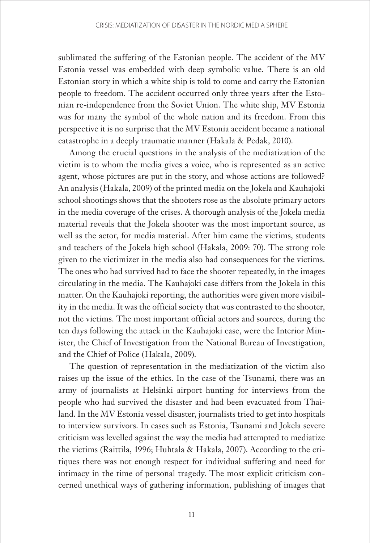sublimated the suffering of the Estonian people. The accident of the MV Estonia vessel was embedded with deep symbolic value. There is an old Estonian story in which a white ship is told to come and carry the Estonian people to freedom. The accident occurred only three years after the Estonian re-independence from the Soviet Union. The white ship, MV Estonia was for many the symbol of the whole nation and its freedom. From this perspective it is no surprise that the MV Estonia accident became a national catastrophe in a deeply traumatic manner (Hakala & Pedak, 2010).

Among the crucial questions in the analysis of the mediatization of the victim is to whom the media gives a voice, who is represented as an active agent, whose pictures are put in the story, and whose actions are followed? An analysis (Hakala, 2009) of the printed media on the Jokela and Kauhajoki school shootings shows that the shooters rose as the absolute primary actors in the media coverage of the crises. A thorough analysis of the Jokela media material reveals that the Jokela shooter was the most important source, as well as the actor, for media material. After him came the victims, students and teachers of the Jokela high school (Hakala, 2009: 70). The strong role given to the victimizer in the media also had consequences for the victims. The ones who had survived had to face the shooter repeatedly, in the images circulating in the media. The Kauhajoki case differs from the Jokela in this matter. On the Kauhajoki reporting, the authorities were given more visibility in the media. It was the official society that was contrasted to the shooter, not the victims. The most important official actors and sources, during the ten days following the attack in the Kauhajoki case, were the Interior Minister, the Chief of Investigation from the National Bureau of Investigation, and the Chief of Police (Hakala, 2009).

The question of representation in the mediatization of the victim also raises up the issue of the ethics. In the case of the Tsunami, there was an army of journalists at Helsinki airport hunting for interviews from the people who had survived the disaster and had been evacuated from Thailand. In the MV Estonia vessel disaster, journalists tried to get into hospitals to interview survivors. In cases such as Estonia, Tsunami and Jokela severe criticism was levelled against the way the media had attempted to mediatize the victims (Raittila, 1996; Huhtala & Hakala, 2007). According to the critiques there was not enough respect for individual suffering and need for intimacy in the time of personal tragedy. The most explicit criticism concerned unethical ways of gathering information, publishing of images that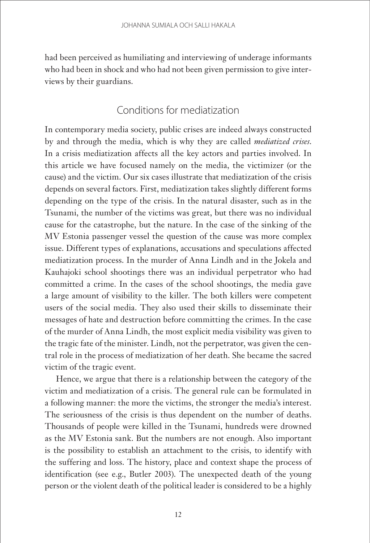had been perceived as humiliating and interviewing of underage informants who had been in shock and who had not been given permission to give interviews by their guardians.

## Conditions for mediatization

In contemporary media society, public crises are indeed always constructed by and through the media, which is why they are called *mediatized crises*. In a crisis mediatization affects all the key actors and parties involved. In this article we have focused namely on the media, the victimizer (or the cause) and the victim. Our six cases illustrate that mediatization of the crisis depends on several factors. First, mediatization takes slightly different forms depending on the type of the crisis. In the natural disaster, such as in the Tsunami, the number of the victims was great, but there was no individual cause for the catastrophe, but the nature. In the case of the sinking of the MV Estonia passenger vessel the question of the cause was more complex issue. Different types of explanations, accusations and speculations affected mediatization process. In the murder of Anna Lindh and in the Jokela and Kauhajoki school shootings there was an individual perpetrator who had committed a crime. In the cases of the school shootings, the media gave a large amount of visibility to the killer. The both killers were competent users of the social media. They also used their skills to disseminate their messages of hate and destruction before committing the crimes. In the case of the murder of Anna Lindh, the most explicit media visibility was given to the tragic fate of the minister. Lindh, not the perpetrator, was given the central role in the process of mediatization of her death. She became the sacred victim of the tragic event.

Hence, we argue that there is a relationship between the category of the victim and mediatization of a crisis. The general rule can be formulated in a following manner: the more the victims, the stronger the media's interest. The seriousness of the crisis is thus dependent on the number of deaths. Thousands of people were killed in the Tsunami, hundreds were drowned as the MV Estonia sank. But the numbers are not enough. Also important is the possibility to establish an attachment to the crisis, to identify with the suffering and loss. The history, place and context shape the process of identification (see e.g., Butler 2003). The unexpected death of the young person or the violent death of the political leader is considered to be a highly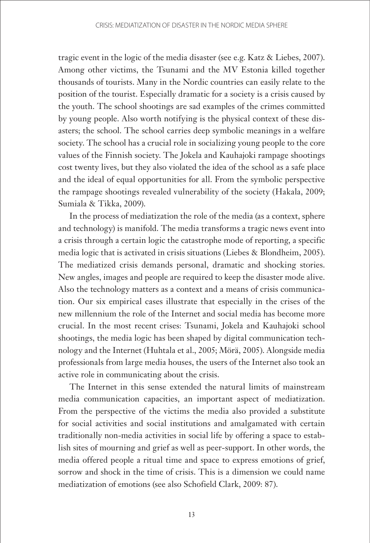tragic event in the logic of the media disaster (see e.g. Katz & Liebes, 2007). Among other victims, the Tsunami and the MV Estonia killed together thousands of tourists. Many in the Nordic countries can easily relate to the position of the tourist. Especially dramatic for a society is a crisis caused by the youth. The school shootings are sad examples of the crimes committed by young people. Also worth notifying is the physical context of these disasters; the school. The school carries deep symbolic meanings in a welfare society. The school has a crucial role in socializing young people to the core values of the Finnish society. The Jokela and Kauhajoki rampage shootings cost twenty lives, but they also violated the idea of the school as a safe place and the ideal of equal opportunities for all. From the symbolic perspective the rampage shootings revealed vulnerability of the society (Hakala, 2009; Sumiala & Tikka, 2009).

In the process of mediatization the role of the media (as a context, sphere and technology) is manifold. The media transforms a tragic news event into a crisis through a certain logic the catastrophe mode of reporting, a specific media logic that is activated in crisis situations (Liebes & Blondheim, 2005). The mediatized crisis demands personal, dramatic and shocking stories. New angles, images and people are required to keep the disaster mode alive. Also the technology matters as a context and a means of crisis communication. Our six empirical cases illustrate that especially in the crises of the new millennium the role of the Internet and social media has become more crucial. In the most recent crises: Tsunami, Jokela and Kauhajoki school shootings, the media logic has been shaped by digital communication technology and the Internet (Huhtala et al., 2005; Mörä, 2005). Alongside media professionals from large media houses, the users of the Internet also took an active role in communicating about the crisis.

The Internet in this sense extended the natural limits of mainstream media communication capacities, an important aspect of mediatization. From the perspective of the victims the media also provided a substitute for social activities and social institutions and amalgamated with certain traditionally non-media activities in social life by offering a space to establish sites of mourning and grief as well as peer-support. In other words, the media offered people a ritual time and space to express emotions of grief, sorrow and shock in the time of crisis. This is a dimension we could name mediatization of emotions (see also Schofield Clark, 2009: 87).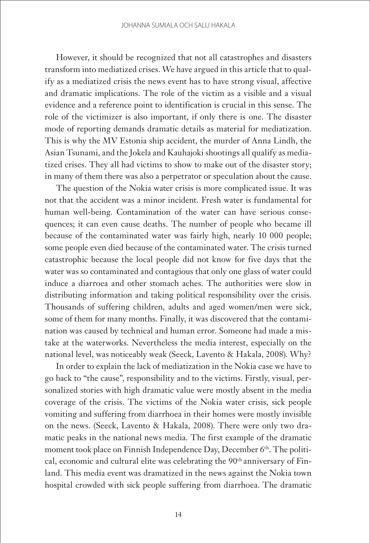However, it should be recognized that not all catastrophes and disasters transform into mediatized crises. We have argued in this article that to qualify as a mediatized crisis the news event has to have strong visual, affective and dramatic implications. The role of the victim as a visible and a visual evidence and a reference point to identification is crucial in this sense. The role of the victimizer is also important, if only there is one. The disaster mode of reporting demands dramatic details as material for mediatization. This is why the MV Estonia ship accident, the murder of Anna Lindh, the Asian Tsunami, and the Jokela and Kauhajoki shootings all qualify as mediatized crises. They all had victims to show to make out of the disaster story; in many of them there was also a perpetrator or speculation about the cause.

The question of the Nokia water crisis is more complicated issue. It was not that the accident was a minor incident. Fresh water is fundamental for human well-being. Contamination of the water can have serious consequences; it can even cause deaths. The number of people who became ill because of the contaminated water was fairly high, nearly 10 000 people; some people even died because of the contaminated water. The crisis turned catastrophic because the local people did not know for five days that the water was so contaminated and contagious that only one glass of water could induce a diarroea and other stomach aches. The authorities were slow in distributing information and taking political responsibility over the crisis. Thousands of suffering children, adults and aged women/men were sick, some of them for many months. Finally, it was discovered that the contamination was caused by technical and human error. Someone had made a mistake at the waterworks. Nevertheless the media interest, especially on the national level, was noticeably weak (Seeck, Lavento & Hakala, 2008). Why?

In order to explain the lack of mediatization in the Nokia case we have to go back to "the cause", responsibility and to the victims. Firstly, visual, personalized stories with high dramatic value were mostly absent in the media coverage of the crisis. The victims of the Nokia water crisis, sick people vomiting and suffering from diarrhoea in their homes were mostly invisible on the news. (Seeck, Lavento & Hakala, 2008). There were only two dramatic peaks in the national news media. The first example of the dramatic moment took place on Finnish Independence Day, December 6<sup>th</sup>. The political, economic and cultural elite was celebrating the 90<sup>th</sup> anniversary of Finland. This media event was dramatized in the news against the Nokia town hospital crowded with sick people suffering from diarrhoea. The dramatic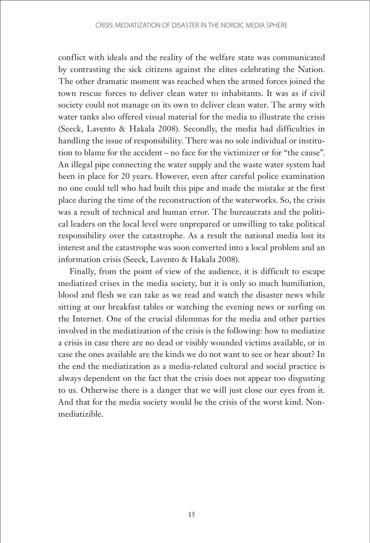conflict with ideals and the reality of the welfare state was communicated by contrasting the sick citizens against the elites celebrating the Nation. The other dramatic moment was reached when the armed forces joined the town rescue forces to deliver clean water to inhabitants. It was as if civil society could not manage on its own to deliver clean water. The army with water tanks also offered visual material for the media to illustrate the crisis (Seeck, Lavento & Hakala 2008). Secondly, the media had difficulties in handling the issue of responsibility. There was no sole individual or institution to blame for the accident – no face for the victimizer or for "the cause". An illegal pipe connecting the water supply and the waste water system had been in place for 20 years. However, even after careful police examination no one could tell who had built this pipe and made the mistake at the first place during the time of the reconstruction of the waterworks. So, the crisis was a result of technical and human error. The bureaucrats and the political leaders on the local level were unprepared or unwilling to take political responsibility over the catastrophe. As a result the national media lost its interest and the catastrophe was soon converted into a local problem and an information crisis (Seeck, Lavento & Hakala 2008).

Finally, from the point of view of the audience, it is difficult to escape mediatized crises in the media society, but it is only so much humiliation, blood and flesh we can take as we read and watch the disaster news while sitting at our breakfast tables or watching the evening news or surfing on the Internet. One of the crucial dilemmas for the media and other parties involved in the mediatization of the crisis is the following: how to mediatize a crisis in case there are no dead or visibly wounded victims available, or in case the ones available are the kinds we do not want to see or hear about? In the end the mediatization as a media-related cultural and social practice is always dependent on the fact that the crisis does not appear too disgusting to us. Otherwise there is a danger that we will just close our eyes from it. And that for the media society would be the crisis of the worst kind. Nonmediatizible.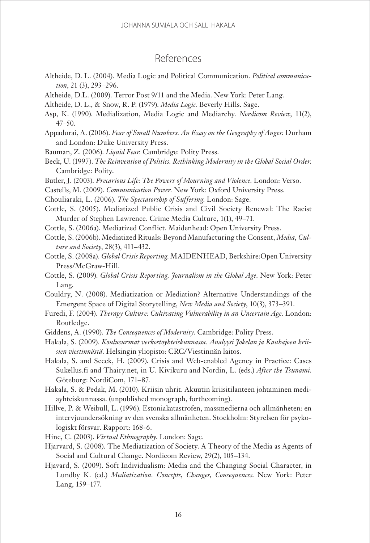## References

- Altheide, D. L. (2004). Media Logic and Political Communication. *Political communication*, 21 (3), 293–296.
- Altheide, D.L. (2009). Terror Post 9/11 and the Media. New York: Peter Lang.
- Altheide, D. L., & Snow, R. P. (1979). *Media Logic.* Beverly Hills. Sage.
- Asp, K. (1990). Medialization, Media Logic and Mediarchy. *Nordicom Review*, 11(2), 47–50.
- Appadurai, A. (2006). *Fear of Small Numbers. An Essay on the Geography of Anger.* Durham and London: Duke University Press.
- Bauman, Z. (2006). *Liquid Fear*. Cambridge: Polity Press.
- Beck, U. (1997). *The Reinvention of Politics. Rethinking Modernity in the Global Social Order*. Cambridge: Polity.
- Butler, J. (2003). *Precarious Life: The Powers of Mourning and Violence*. London: Verso.
- Castells, M. (2009). *Communication Power*. New York: Oxford University Press.
- Chouliaraki, L. (2006). *The Spectatorship of Suffering*. London: Sage.
- Cottle, S. (2005). Mediatized Public Crisis and Civil Society Renewal: The Racist Murder of Stephen Lawrence. Crime Media Culture, 1(1), 49–71.
- Cottle, S. (2006a). Mediatized Conflict. Maidenhead: Open University Press.
- Cottle, S. (2006b). Mediatized Rituals: Beyond Manufacturing the Consent, *Media, Culture and Society*, 28(3), 411–432.
- Cottle, S. (2008a). *Global Crisis Reporting*. MAIDENHEAD, Berkshire:Open University Press/McGraw-Hill.
- Cottle, S. (2009). *Global Crisis Reporting. Journalism in the Global Age*. New York: Peter Lang.
- Couldry, N. (2008). Mediatization or Mediation? Alternative Understandings of the Emergent Space of Digital Storytelling, *New Media and Society*, 10(3), 373–391.
- Furedi, F. (2004). *Therapy Culture: Cultivating Vulnerability in an Uncertain Age.* London: Routledge.
- Giddens, A. (1990). *The Consequences of Modernity*. Cambridge: Polity Press.
- Hakala, S. (2009). *Koulusurmat verkostoyhteiskunnassa. Analyysi Jokelan ja Kauhajoen kriisien viestinnästä*. Helsingin yliopisto: CRC/Viestinnän laitos.
- Hakala, S. and Seeck, H. (2009). Crisis and Web-enabled Agency in Practice: Cases Sukellus.fi and Thairy.net, in U. Kivikuru and Nordin, L. (eds.) *After the Tsunami*. Göteborg: NordiCom, 171–87.
- Hakala, S. & Pedak, M. (2010). Kriisin uhrit. Akuutin kriisitilanteen johtaminen mediayhteiskunnassa. (unpublished monograph, forthcoming).
- Hillve, P. & Weibull, L. (1996). Estoniakatastrofen, massmedierna och allmänheten: en intervjuundersökning av den svenska allmänheten. Stockholm: Styrelsen för psykologiskt försvar. Rapport: 168-6.
- Hine, C. (2003). *Virtual Ethnography*. London: Sage.
- Hjarvard, S. (2008). The Mediatization of Society. A Theory of the Media as Agents of Social and Cultural Change. Nordicom Review, 29(2), 105–134.
- Hjavard, S. (2009). Soft Individualism: Media and the Changing Social Character, in Lundby K. (ed.) *Mediatization. Concepts, Changes, Consequences*. New York: Peter Lang, 159–177.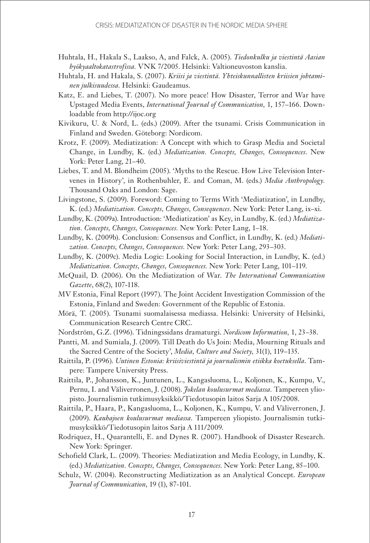- Huhtala, H., Hakala S., Laakso, A, and Falck, A. (2005). *Tiedonkulku ja viestintä Aasian hyökyaaltokatastrofissa.* VNK 7/2005. Helsinki: Valtioneuvoston kanslia.
- Huhtala, H. and Hakala, S. (2007). *Kriisi ja viestintä. Yhteiskunnallisten kriisien johtaminen julkisuudessa.* Helsinki: Gaudeamus.
- Katz, E. and Liebes, T. (2007). No more peace! How Disaster, Terror and War have Upstaged Media Events, *International Journal of Communication,* 1, 157–166. Downloadable from http://ijoc.org
- Kivikuru, U. & Nord, L. (eds.) (2009). After the tsunami. Crisis Communication in Finland and Sweden. Göteborg: Nordicom.
- Krotz, F. (2009). Mediatization: A Concept with which to Grasp Media and Societal Change, in Lundby, K. (ed.) *Mediatization. Concepts, Changes, Consequences*. New York: Peter Lang, 21–40.
- Liebes, T. and M. Blondheim (2005). 'Myths to the Rescue. How Live Television Intervenes in History', in Rothenbuhler, E. and Coman, M. (eds.) *Media Anthropology.* Thousand Oaks and London: Sage.
- Livingstone, S. (2009). Foreword: Coming to Terms With 'Mediatization', in Lundby, K. (ed.) *Mediatization. Concepts, Changes, Consequences*. New York: Peter Lang, ix–xi.
- Lundby, K. (2009a). Introduction: 'Mediatization' as Key, in Lundby, K. (ed.) *Mediatization. Concepts, Changes, Consequences.* New York: Peter Lang, 1–18.
- Lundby, K. (2009b). Conclusion: Consensus and Conflict, in Lundby, K. (ed.) *Mediatization. Concepts, Changes, Consequences.* New York: Peter Lang, 293–303.
- Lundby, K. (2009c). Media Logic: Looking for Social Interaction, in Lundby, K. (ed.) *Mediatization. Concepts, Changes, Consequences.* New York: Peter Lang, 101–119.
- McQuail, D. (2006). On the Mediatization of War. *The International Communication Gazette*, 68(2), 107-118.
- MV Estonia, Final Report (1997). The Joint Accident Investigation Commission of the Estonia, Finland and Sweden: Government of the Republic of Estonia.
- Mörä, T. (2005). Tsunami suomalaisessa mediassa. Helsinki: University of Helsinki, Communication Research Centre CRC.
- Nordström, G.Z. (1996). Tidningssidans dramaturgi. *Nordicom Information,* 1, 23–38.
- Pantti, M. and Sumiala, J. (2009). Till Death do Us Join: Media, Mourning Rituals and the Sacred Centre of the Society', *Media, Culture and Society,* 31(1), 119–135.
- Raittila, P. (1996). *Uutinen Estonia: kriisiviestintä ja journalismin etiikka koetuksella*. Tampere: Tampere University Press.
- Raittila, P., Johansson, K., Juntunen, L., Kangasluoma, L., Koljonen, K., Kumpu, V., Pernu, I. and Väliverronen, J. (2008). *Jokelan koulusurmat mediassa.* Tampereen yliopisto. Journalismin tutkimusyksikkö/Tiedotusopin laitos Sarja A 105/2008.
- Raittila, P., Haara, P., Kangasluoma, L., Koljonen, K., Kumpu, V. and Väliverronen, J. (2009). *Kauhajoen koulusurmat mediassa*. Tampereen yliopisto. Journalismin tutkimusyksikkö/Tiedotusopin laitos Sarja A 111/2009.
- Rodriquez, H., Quarantelli, E. and Dynes R. (2007). Handbook of Disaster Research. New York: Springer.
- Schofield Clark, L. (2009). Theories: Mediatization and Media Ecology, in Lundby, K. (ed.) *Mediatization. Concepts, Changes, Consequences*. New York: Peter Lang, 85–100.
- Schulz, W. (2004). Reconstructing Mediatization as an Analytical Concept. *European Journal of Communication*, 19 (1), 87-101.